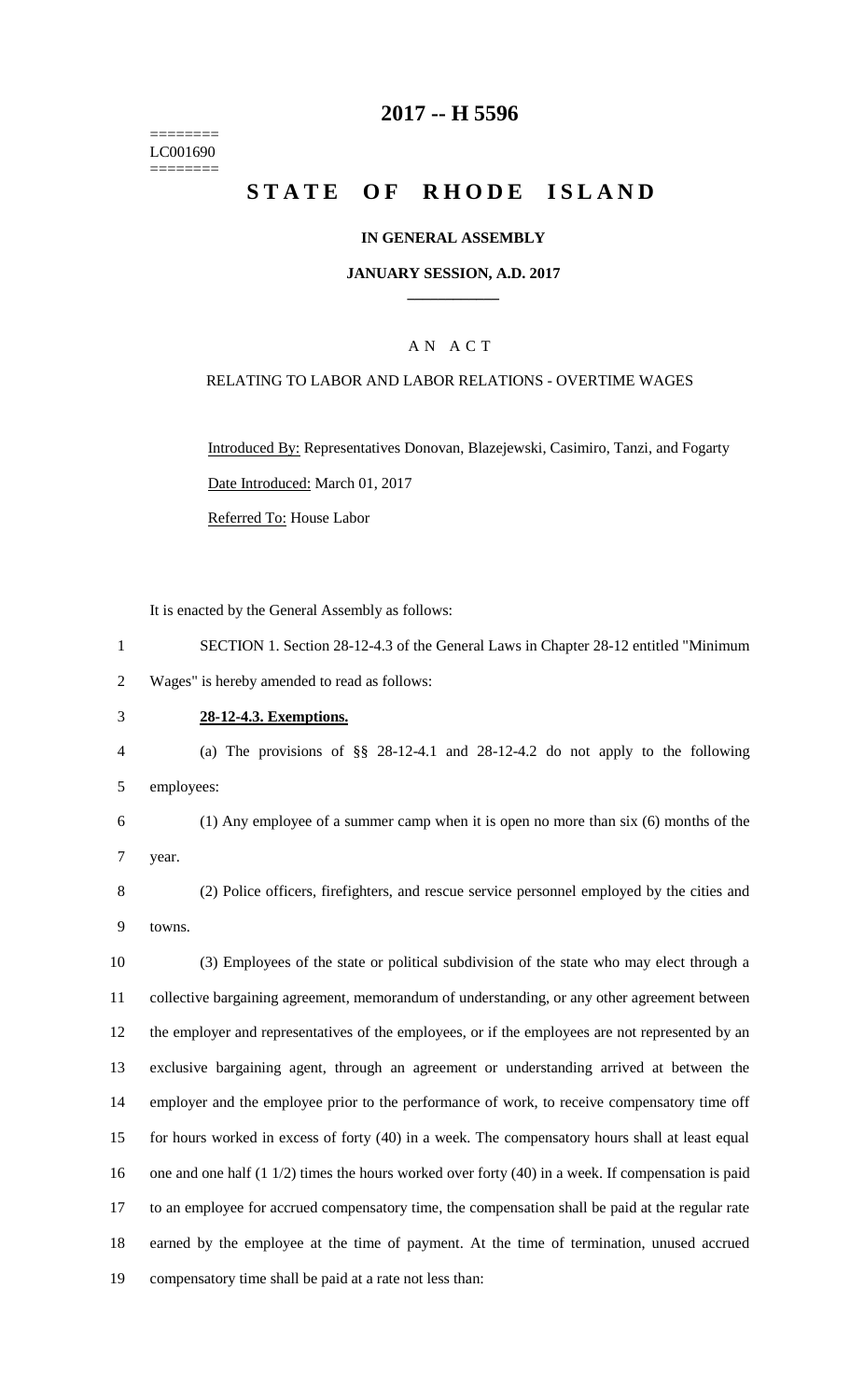======== LC001690 ========

# **2017 -- H 5596**

# **STATE OF RHODE ISLAND**

#### **IN GENERAL ASSEMBLY**

#### **JANUARY SESSION, A.D. 2017 \_\_\_\_\_\_\_\_\_\_\_\_**

#### A N A C T

#### RELATING TO LABOR AND LABOR RELATIONS - OVERTIME WAGES

Introduced By: Representatives Donovan, Blazejewski, Casimiro, Tanzi, and Fogarty Date Introduced: March 01, 2017 Referred To: House Labor

It is enacted by the General Assembly as follows:

| SECTION 1. Section 28-12-4.3 of the General Laws in Chapter 28-12 entitled "Minimum" |
|--------------------------------------------------------------------------------------|
| Wages" is hereby amended to read as follows:                                         |

#### 3 **28-12-4.3. Exemptions.**

4 (a) The provisions of §§ 28-12-4.1 and 28-12-4.2 do not apply to the following 5 employees:

6 (1) Any employee of a summer camp when it is open no more than six (6) months of the

7 year.

8 (2) Police officers, firefighters, and rescue service personnel employed by the cities and 9 towns.

 (3) Employees of the state or political subdivision of the state who may elect through a collective bargaining agreement, memorandum of understanding, or any other agreement between the employer and representatives of the employees, or if the employees are not represented by an exclusive bargaining agent, through an agreement or understanding arrived at between the employer and the employee prior to the performance of work, to receive compensatory time off for hours worked in excess of forty (40) in a week. The compensatory hours shall at least equal 16 one and one half (1 1/2) times the hours worked over forty (40) in a week. If compensation is paid to an employee for accrued compensatory time, the compensation shall be paid at the regular rate earned by the employee at the time of payment. At the time of termination, unused accrued compensatory time shall be paid at a rate not less than: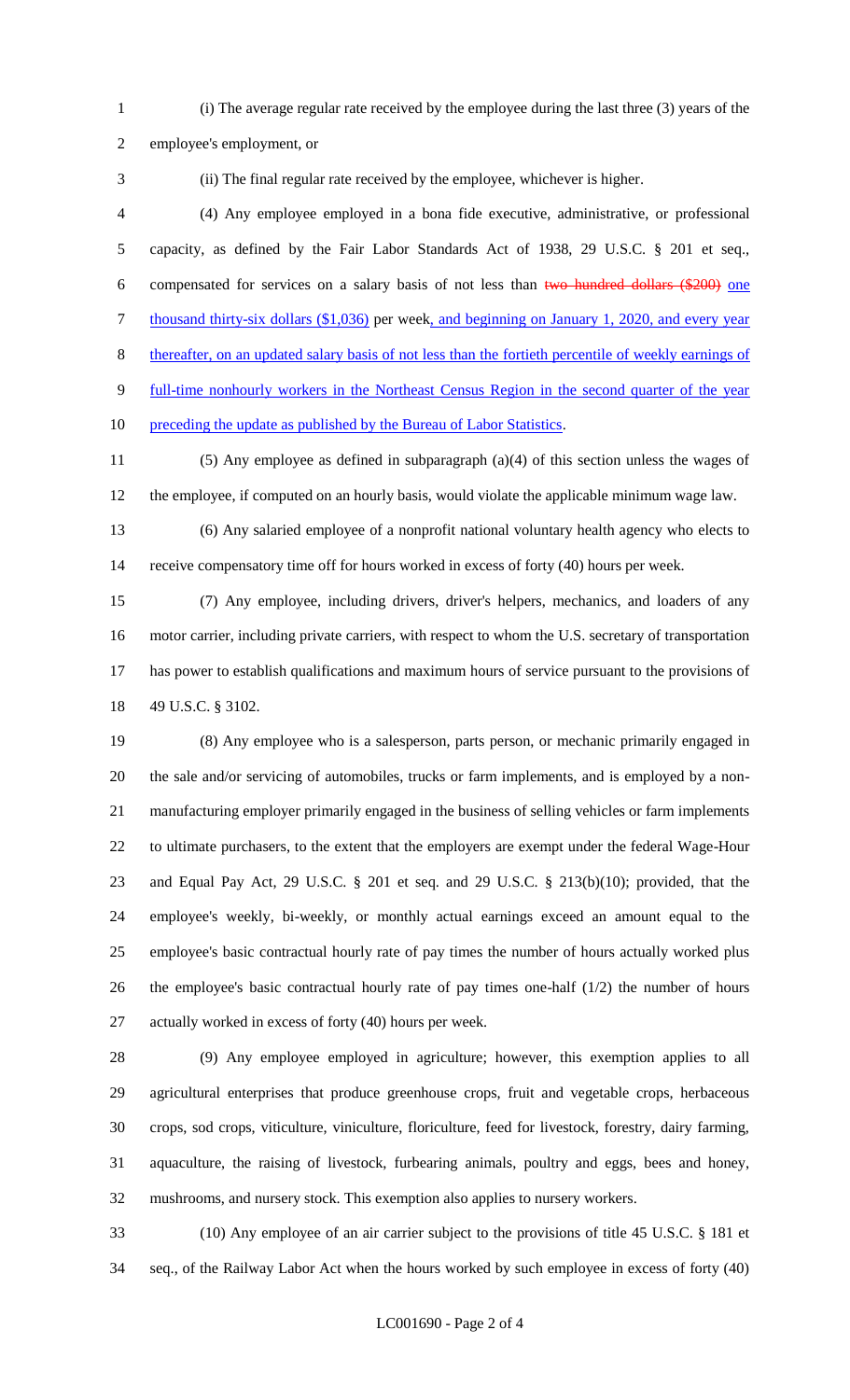(i) The average regular rate received by the employee during the last three (3) years of the

employee's employment, or

(ii) The final regular rate received by the employee, whichever is higher.

 (4) Any employee employed in a bona fide executive, administrative, or professional capacity, as defined by the Fair Labor Standards Act of 1938, 29 U.S.C. § 201 et seq., compensated for services on a salary basis of not less than two hundred dollars (\$200) one thousand thirty-six dollars (\$1,036) per week, and beginning on January 1, 2020, and every year thereafter, on an updated salary basis of not less than the fortieth percentile of weekly earnings of full-time nonhourly workers in the Northeast Census Region in the second quarter of the year

10 preceding the update as published by the Bureau of Labor Statistics.

- (5) Any employee as defined in subparagraph (a)(4) of this section unless the wages of the employee, if computed on an hourly basis, would violate the applicable minimum wage law.
- (6) Any salaried employee of a nonprofit national voluntary health agency who elects to receive compensatory time off for hours worked in excess of forty (40) hours per week.
- (7) Any employee, including drivers, driver's helpers, mechanics, and loaders of any motor carrier, including private carriers, with respect to whom the U.S. secretary of transportation has power to establish qualifications and maximum hours of service pursuant to the provisions of 49 U.S.C. § 3102.
- (8) Any employee who is a salesperson, parts person, or mechanic primarily engaged in the sale and/or servicing of automobiles, trucks or farm implements, and is employed by a non- manufacturing employer primarily engaged in the business of selling vehicles or farm implements to ultimate purchasers, to the extent that the employers are exempt under the federal Wage-Hour and Equal Pay Act, 29 U.S.C. § 201 et seq. and 29 U.S.C. § 213(b)(10); provided, that the employee's weekly, bi-weekly, or monthly actual earnings exceed an amount equal to the employee's basic contractual hourly rate of pay times the number of hours actually worked plus the employee's basic contractual hourly rate of pay times one-half (1/2) the number of hours actually worked in excess of forty (40) hours per week.
- (9) Any employee employed in agriculture; however, this exemption applies to all agricultural enterprises that produce greenhouse crops, fruit and vegetable crops, herbaceous crops, sod crops, viticulture, viniculture, floriculture, feed for livestock, forestry, dairy farming, aquaculture, the raising of livestock, furbearing animals, poultry and eggs, bees and honey, mushrooms, and nursery stock. This exemption also applies to nursery workers.
- (10) Any employee of an air carrier subject to the provisions of title 45 U.S.C. § 181 et seq., of the Railway Labor Act when the hours worked by such employee in excess of forty (40)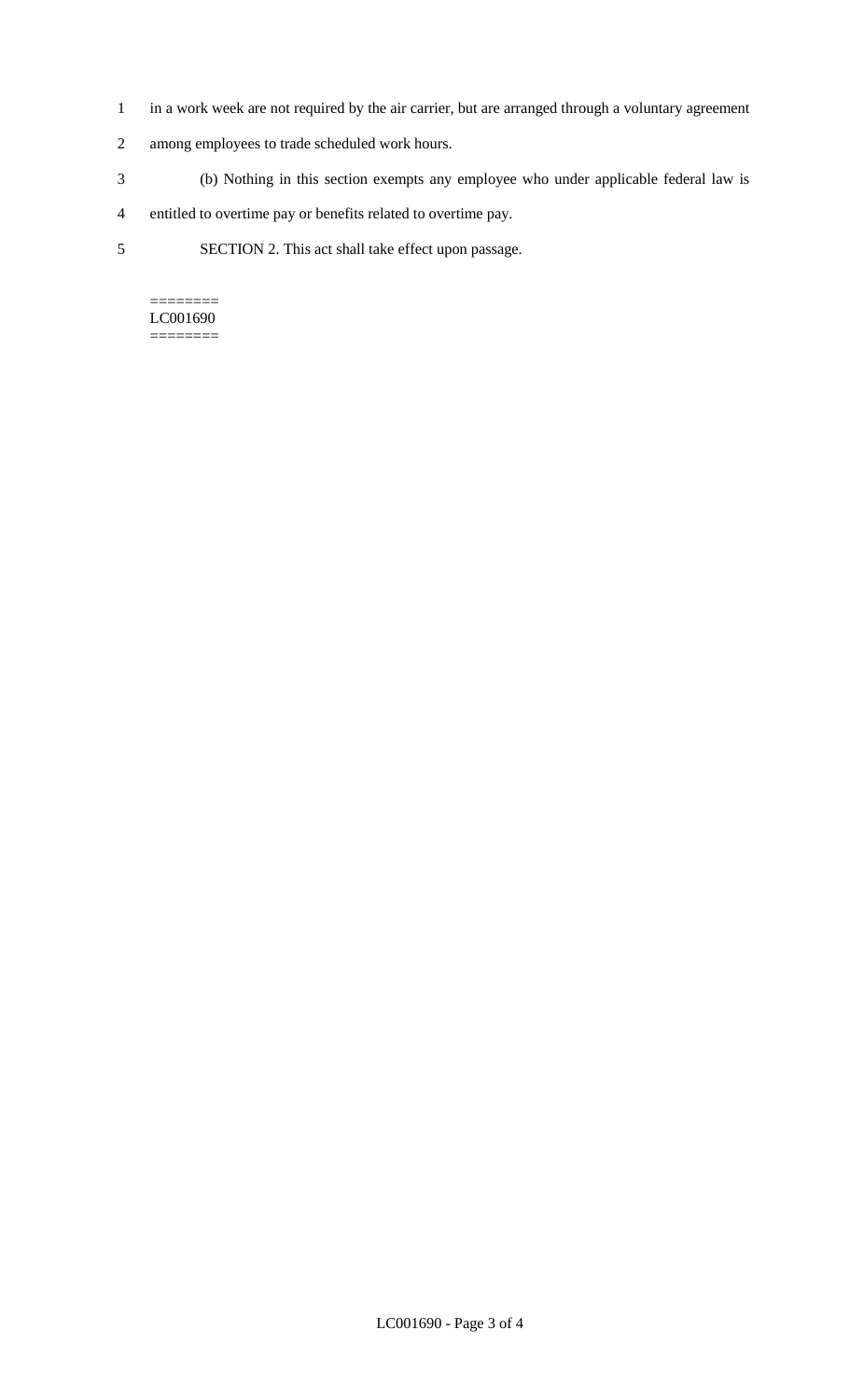- 1 in a work week are not required by the air carrier, but are arranged through a voluntary agreement
- 2 among employees to trade scheduled work hours.
- 3 (b) Nothing in this section exempts any employee who under applicable federal law is
- 4 entitled to overtime pay or benefits related to overtime pay.
- 5 SECTION 2. This act shall take effect upon passage.

======== LC001690 ========